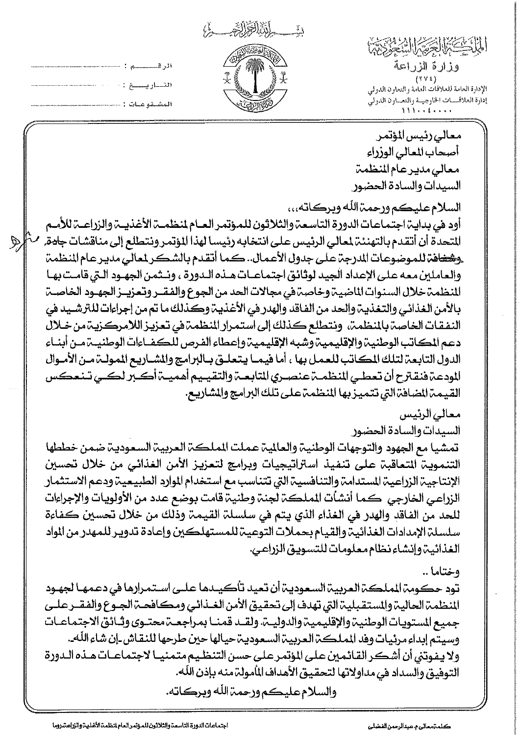وزارة الزراعة  $(YY)$ الإدارة العامة للعلاقات العامة والتعاون الدولي إدارة العلاقسمات الخارجيسة والتعساون الدولي

ڵڎٚ

| الحر فصد مصطلى: مستسم مستشمس الله عليه الله عليه الله عليه المستشمس الله الله عليه الله عليه الله عل |  |
|------------------------------------------------------------------------------------------------------|--|
|                                                                                                      |  |
|                                                                                                      |  |

 $\mathscr{D}$ 

معال*ي ر*ئيس المؤتمر أصحاب المعالى الوزراء معالى مديرعام المنظمة السيدات والسادة الحضور

السلام عليكم ورحمة الله وبركاته،،،

أود في بدايــة اجتمـاعـات الدورة التاسـعـة والثلاثون للـمـؤتمـر العــام لمنظمــة الأغـذيــة والزراعــة للأمــم التحدة أن أتقدم بالتهنئة لحالي الرئيس على انتخابه رئيسا لهذا المؤتمر ونتطلع إلى مناقشات جادة, ـو<del>شض</del>افة للموضوعات المدرجة على جدول الأعمال.. كما أتقدم بالشكر لمعالي مدير عام المنظمة والعاملين معه على الإعداد الجيد لوثائق اجتماعـات هـذه الـدورة ، ونـثمن الجهـود الـتي قامـت بهـا النظمة خلال السنوات الماضية وخاصة في مجالات الحد من الجوع والفقــر وتعزيــز الجهــود الخاصــة بالأمن الغذائي والتغذيـ، والحد من الفـاقد والهدر في الأغذيـ، وكـذلك ما تم من إجراءات للـترشـيد في النفقات الخاصة بالمنظمة، ونتطلع كذلك إلى استمرار المنظمة في تعزيز اللامركزية من خلال دعم المكاتب الوطنية والإقليمية وشبه الإقليمية وإعطاء الفرص للكفـاءات الوطنيــة مـن أبنــاء الدول التابعة لتلك المكاتب للعمل بها ، أما فيمـا يتعلـق بـالبرامج والشــاريع الممولـة مـن الأمـوال المودعة فنقترح أن تعطي النظمــة عنصـري التابعــة والتقيــيم أهميــة أكــــبر لكــي تــنـعكس القيمة الضافة التي تتميزبها المنظمة على تلك البرامج والشاريح.

معالى الرئيس

السيدات والسادة الحضور

تمشيا مع الجهود والتوجهات الوطنية والعالمية عملت الملكة العربية السعودية ضمن خططها التنموية التعاقبة على تنفيذ استراتيجيات وبرامج لتعزيز الأمن الغذائي من خلال تحسين الإنتاجية الزراعية الستدامة والتنافسية التي تتناسب مع استخدام الموارد الطبيعية ودعم الاستثمار الزراعي الخارجي كما أنشأت الملكة لجنة وطنية قامت بوضع عدد من الأولويات والإجراءات للحد من الفاقد والهدر في الغذاء الذي يتم في سلسلة القيمة وذلك من خلال تحسين كفاءة سلسلة الإمدادات الغذائية والقيام بحملات التوعية للمستهلكين وإعادة تدوير للمهدر من المواد الغذائية وإنشاء نظام معلومات للتسويق الزراعي.

وختاما ..

تود حكومتِ الملكِمّ العربية السعودية أن تعيد تأكيـدها علـي اسـتمـرارها في دعمهـا لجهـود المنظمة الحالية والمستقبلية التي تهدف إلى تحقيق الأمن الغذائي ومكافحة الجـوع والفقـر علـى جميع المستويات الوطنية والإقليمية والدولية. ولقله قمنـا بمراجعـة محتـوى وثـائق الاجتماعـات وسيتم إبداء مرئيات وفد الملكت العربيت السعوديــة حيالها حين طرحها للنقـاش\_إن شاء اللّهـ. ولا يفوتني أن أشكر القائمين على المؤتمر على حسن التنظيم متمنيـا لاجتماعـات هــذه الــدورة التوهيق والسداد هي مداولاتها لتحقيق الأهداف المأولة منه بإذن اللّه. والسلام عليكم ورحمة الله وبركاته.